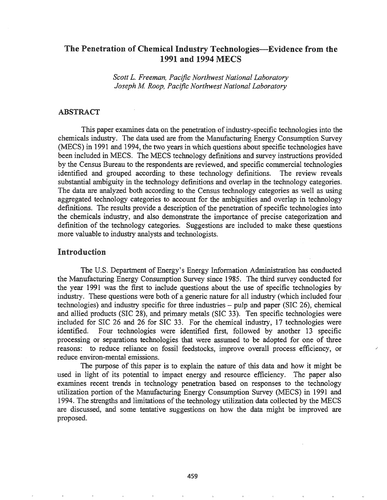## The Penetration of Chemical Industry Technologies—Evidence from the 1991 and 1994 MECS

*Scott L. Freeman, Pacific Northwest National Laboratory Joseph M Roop, Pacific Northwest National Laboratory*

## ABSTRACT

This paper examines data on the penetration of industry-specific technologies into the chemicals industry. The data used are from the Manufacturing Energy Consumption Survey (MECS) in 1991 and 1994, the two years in which questions about specific technologies have been included in MECS. The MECS technology definitions and survey instructions provided by the Census Bureau to the respondents are reviewed, and specific commercial technologies identified and grouped according to these technology definitions. The review reveals substantial ambiguity in the technology definitions and overlap in the technology categories. The data are analyzed both according to the Census technology categories as well as using aggregated technology categories to account for the ambiguities and overlap in technology definitions. The results provide a description of the penetration of specific technologies into the chemicals industry, and also demonstrate the importance of precise categorization and definition of the technology categories. Suggestions are included to make these questions more valuable to industry analysts and technologists.

### Introduction

The U.S. Department of Energy's Energy Information Administration has conducted the Manufacturing Energy Consumption Survey since 1985. The third survey conducted for the year 1991 was the first to include questions about the use of specific technologies by industry. These questions were both of a generic nature for all industry (which included four technologies) and industry specific for three industries – pulp and paper (SIC 26), chemical and allied products (SIC 28), and primary metals (SIC 33). Ten specific technologies were included for SIC 26 and 26 for SIC 33. For the chemical industry, 17 technologies were identified. Four technologies were identified first, followed by another 13 specific processing or separations technologies that were assumed to be adopted for one of three reasons: to reduce reliance on fossil feedstocks, improve overall process efficiency, or reduce environ-mental emissions.

The purpose of this paper is to explain the nature of this data and how it might be used in light of its potential to impact energy and resource efficiency. The paper also examines recent trends in technology penetration based on responses to the technology utilization portion of the Manufacturing Energy Consumption Survey (MECS) in 1991 and 1994. The strengths and limitations of the technology utilization data collected by the MECS are discussed, and some tentative suggestions on how the data might be improved are proposed.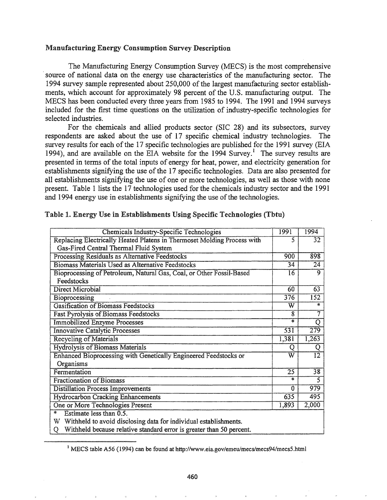#### Manufacturing Energy Consumption Survey Description

The Manufacturing Energy Consumption Survey (MECS) is the most comprehensive .source of national data on the energy use characteristics of the manufacturing sector. The 1994 survey sample represented about 250,000 of the largest manufacturing sector establishments, which account for approximately 98 percent of the U.S. manufacturing output. The MECS has been conducted every three years from 1985 to 1994. The 1991 and 1994 surveys included for the first time questions on the utilization of industry-specific technologies for selected industries.

For the chemicals and allied products sector (SIC 28) and its subsectors, survey respondents are asked about the use of  $17$  specific chemical industry technologies. The survey results for each of the 17 specific technologies are published for the 1991 survey (EIA 1994), and are available on the EIA website for the  $1994$  Survey.<sup>1</sup> The survey results are presented in terms of the total inputs of energy for heat, power, and electricity generation for establishments signifying the use of the 17 specific technologies. Data are also presented for all establishments signifying the use of one or more technologies, as well as those with none present. Table 1 lists the 17 technologies used for the chemicals industry sector and the 1991 and 1994 energy use in establishments signifying the use of the technologies.

| <b>Chemicals Industry-Specific Technologies</b>                                 | 1991                  | 1994                  |  |  |
|---------------------------------------------------------------------------------|-----------------------|-----------------------|--|--|
| Replacing Electrically Heated Platens in Thermoset Molding Process with         | 5                     | 32                    |  |  |
| Gas-Fired Central Thermal Fluid System                                          |                       |                       |  |  |
| Processing Residuals as Alternative Feedstocks                                  | 900                   | 898                   |  |  |
| <b>Biomass Materials Used as Alternative Feedstocks</b>                         | 34                    | $\overline{24}$       |  |  |
| Bioprocessing of Petroleum, Natural Gas, Coal, or Other Fossil-Based            | 16                    | $\mathbf{Q}$          |  |  |
| Feedstocks                                                                      |                       |                       |  |  |
| Direct Microbial                                                                | 60                    | 63                    |  |  |
| Bioprocessing                                                                   | $\overline{376}$      | $\overline{152}$      |  |  |
| <b>Gasification of Biomass Feedstocks</b>                                       | W                     | *                     |  |  |
| <b>Fast Pyrolysis of Biomass Feedstocks</b>                                     | 8                     | 7                     |  |  |
| <b>Immobilized Enzyme Processes</b>                                             | *                     | $\overline{\text{Q}}$ |  |  |
| <b>Innovative Catalytic Processes</b>                                           | $\overline{531}$      | $\overline{279}$      |  |  |
| <b>Recycling of Materials</b>                                                   | 1,381                 | 1,263                 |  |  |
| Hydrolysis of Biomass Materials                                                 | Q                     | Q                     |  |  |
| Enhanced Bioprocessing with Genetically Engineered Feedstocks or                | $\overline{\text{W}}$ | $\overline{12}$       |  |  |
| Organisms                                                                       |                       |                       |  |  |
| Fermentation                                                                    | $\overline{25}$       | $\overline{38}$       |  |  |
| <b>Fractionation of Biomass</b>                                                 | $\ast$                | $\overline{5}$        |  |  |
| <b>Distillation Process Improvements</b>                                        | $\bf{0}$              | 979                   |  |  |
| <b>Hydrocarbon Cracking Enhancements</b>                                        | 635                   | 495                   |  |  |
| One or More Technologies Present                                                | 1,893                 | 2,000                 |  |  |
| Estimate less than 0.5.<br>$\ast$                                               |                       |                       |  |  |
| W Withheld to avoid disclosing data for individual establishments.              |                       |                       |  |  |
| Withheld because relative standard error is greater than 50 percent.<br>$\circ$ |                       |                       |  |  |

#### Table I. Energy Use in Establishments Using Specific Technologies (Tbtn)

<sup>&</sup>lt;sup>1</sup> MECS table A56 (1994) can be found at http://www.eia.gov/emeu/mecs/mecs94/mecs5.html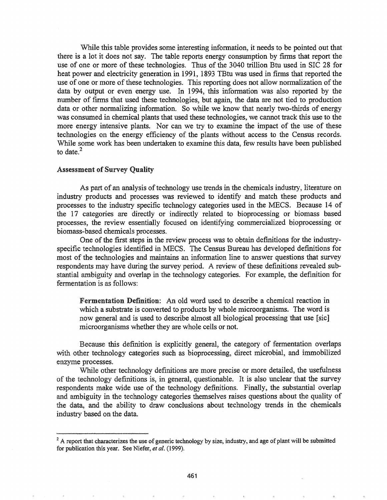While this table provides some interesting information, it needs to be pointed out that there is a lot it does not say. The table reports energy consumption by firms that report the use of one or more of these technologies. Thus of the 3040 trillion Btu used in SIC 28 for heat power and electricity generation in 1991, 1893 TBtu was used in firms that reported the use of one or more of these technologies. This reporting does not allow normalization of the data by output or even energy use. In 1994, this information was also reported by the number of firms that used these technologies, but again, the data are not tied to production data or other normalizing information. So while we know that nearly two-thirds of energy was consumed in chemical plants that used these technologies, we cannot track this use to the more energy intensive plants. Nor can we try to examine the impact of the use of these technologies on the energy efficiency of the plants without access to the Census records. While some work has been undertaken to examine this data, few results have been published to date. $<sup>2</sup>$ </sup>

### Assessment of Survey Quality

As part of an analysis of technology use trends in the chemicals industry, literature on industry products and processes was reviewed to identify and match these products and processes to the industry specific technology categories used in the MECS. Because 14 of the 17 categories are directly or indirectly related to bioprocessing or biomass based processes, the review essentially focused on identifying commercialized bioprocessing or biomass-based chemicals processes.

One of the first steps in the review process was to obtain definitions for the industryspecific technologies identified in MECS. The Census Bureau has developed definitions for most of the technologies and maintains an information line to answer questions that survey respondents may have during the survey period. A review of these definitions revealed substantial ambiguity and overlap in the technology categories. For example, the definition for fermentation is as follows:

Fermentation Definition: An old word used to describe a chemical reaction in which a substrate is converted to products by whole microorganisms. The word is now general and is used to describe almost all biological processing that use [sic] microorganisms whether they are whole cells or not.

Because this definition is explicitly general, the category of fermentation overlaps with other technology categories such as bioprocessing, direct microbial, and immobilized enzyme processes..

While other technology definitions are more precise or more detailed, the usefulness of the technology definitions is, in general, questionable. It is also unclear that the survey respondents make wide use of the technology definitions. Finally, the substantial overlap and ambiguity in the technology categories themselves raises questions about the quality of the data, and the ability to draw conclusions about technology trends in the chemicals industry based on the data.

 $2^2$  A report that characterizes the use of generic technology by size, industry, and age of plant will be submitted for publication this year. See Niefer, *et al.* (1999).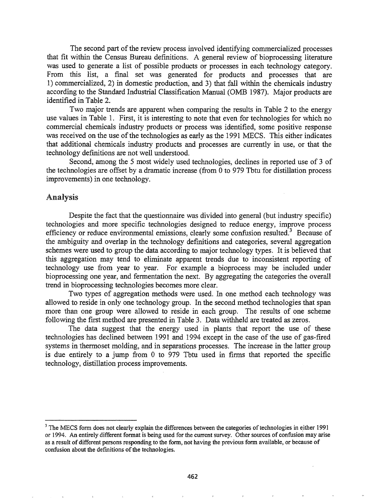The second part of the review process involved identifying commercialized processes that fit within the Census Bureau defmitions. A general review of bioprocessing literature was used to generate a list of possible products or processes in each technology category. From this list, a final set was generated for products and processes that are 1) commercialized, 2) in domestic production, and 3) that fall within the chemicals industry according to the Standard Industrial Classification Manual (OMB 1987). Major products are identified in Table 2.

Two major trends are apparent when comparing the results in Table 2 to the energy use values in Table 1. First, it is interesting to note that even for technologies for which no commercial chemicals industry products or process was identified, some positive response was received on the use of the technologies as early as the 1991 MECS. This either indicates that additional chemicals industry products and processes are currently in use, or that the technology definitions are not well understood.

Second, among the 5 most widely used technologies, declines in reported use of 3 of the technologies are offset by a dramatic increase (from 0 to 979 Tbtu for distillation process improvements) in one technology.

## Analysis

Despite the fact that the questionnaire was divided into general (but industry specific) technologies and more specific technologies designed to reduce energy, improve process efficiency or reduce environmental emissions, clearly some confusion resulted.<sup>3</sup> Because of the ambiguity and overlap in the technology definitions and categories, several aggregation schemes were used to group the data according to major technology types. It is believed that this aggregation may tend to eliminate apparent trends due to inconsistent reporting of technology use from year to year. For example a bioprocess may be included under bioprocessing one year, and fermentation the next. By aggregating the categories the overall trend in bioprocessing technologies becomes more clear.

Two types of aggregation methods were used. In one method each technology was allowed to reside in only one technology group. In the second method technologies that span more than one group were allowed to reside in each group. The results of one scheme following the first method are presented in Table 3. Data withheld are treated as zeros.

The data suggest that the energy used in plants that report the use of these technologies has declined between 1991 and 1994 except in the case of the use of gas-fired systems in thermoset molding, and in separations processes. The increase in the latter group is due entirely to a jump from 0 to 979 Tbtu used in firms that reported the specific technology, distillation process improvements.

 $3$  The MECS form does not clearly explain the differences between the categories of technologies in either 1991 or 1994. An entirely different format is being used for the current survey. Other sources of confusion may arise as a result of different persons responding to the form, not having the previous form available, or because of confusion about the definitions of the technologies.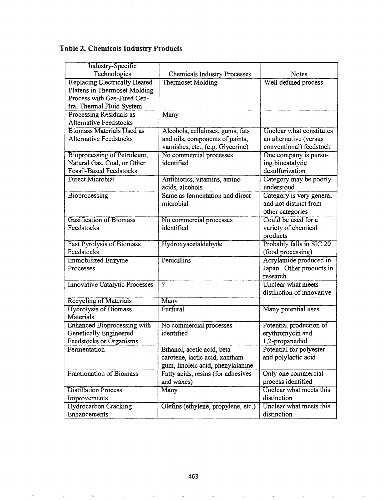# Table 2. Chemicals Industry Products

 $\hat{\boldsymbol{\beta}}$ 

| <b>Industry-Specific</b>              |                                     |                                 |
|---------------------------------------|-------------------------------------|---------------------------------|
| Technologies                          | Chemicals Industry Processes        | Notes                           |
| <b>Replacing Electrically Heated</b>  | Thermoset Molding                   | Well defined process            |
| Platens in Thermoset Molding          |                                     |                                 |
| Process with Gas-Fired Cen-           |                                     |                                 |
| tral Thermal Fluid System             |                                     |                                 |
| Processing Residuals as               | Many                                |                                 |
| <b>Alternative Feedstocks</b>         |                                     |                                 |
| <b>Biomass Materials Used as</b>      | Alcohols, celluloses, gums, fats    | <b>Unclear what constitutes</b> |
| <b>Alternative Feedstocks</b>         | and oils, components of paints,     | an alternative (versus          |
|                                       | varnishes, etc., (e.g. Glycerine)   | conventional) feedstock         |
| Bioprocessing of Petroleum,           | No commercial processes             | One company is pursu-           |
| Natural Gas, Coal, or Other           | identified                          | ing biocatalytic                |
| <b>Fossil-Based Feedstocks</b>        |                                     | desulfurization                 |
| Direct Microbial                      | Antibiotics, vitamins, amino        | Category may be poorly          |
|                                       | acids, alcohols                     | understood                      |
| Bioprocessing                         | Same as fermentation and direct     | Category is very general        |
|                                       | microbial                           | and not distinct from           |
|                                       |                                     | other categories                |
| <b>Gasification of Biomass</b>        | No commercial processes             | Could be used for a             |
| Feedstocks                            | identified                          | variety of chemical             |
|                                       |                                     | products                        |
| <b>Fast Pyrolysis of Biomass</b>      | Hydroxyacetaldehyde                 | Probably falls in SIC 20        |
| Feedstocks                            |                                     | (food processing)               |
| <b>Immobilized Enzyme</b>             | Penicillins                         | Acrylamide produced in          |
| Processes                             |                                     | Japan. Other products in        |
|                                       |                                     | research                        |
| <b>Innovative Catalytic Processes</b> | $\overline{?}$                      | Unclear what meets              |
|                                       |                                     | distinction of innovative       |
| <b>Recycling of Materials</b>         | Many                                |                                 |
| <b>Hydrolysis of Biomass</b>          | Furfural                            | Many potential uses             |
| Materials                             |                                     |                                 |
| <b>Enhanced Bioprocessing with</b>    | No commercial processes             | Potential production of         |
| Genetically Engineered                | identified                          | erythromycin and                |
| <b>Feedstocks or Organisms</b>        |                                     | 1,2-propanediol                 |
| Fermentation                          | Ethanol, acetic acid, beta          | Potential for polyester         |
|                                       | carotene, lactic acid, xantham      | and polylactic acid             |
|                                       | gum, linoleic acid, phenylalanine   |                                 |
| <b>Fractionation of Biomass</b>       | Fatty acids, resins (for adhesives  | Only one commercial             |
|                                       | and waxes)                          | process identified              |
| <b>Distillation Process</b>           | Many                                | Unclear what meets this         |
| Improvements                          |                                     | distinction                     |
| <b>Hydrocarbon Cracking</b>           | Olefins (ethylene, propylene, etc.) | Unclear what meets this         |
| Enhancements                          |                                     | distinction                     |

 $\bar{\kappa}$ 

 $\overline{\mathbf{z}}$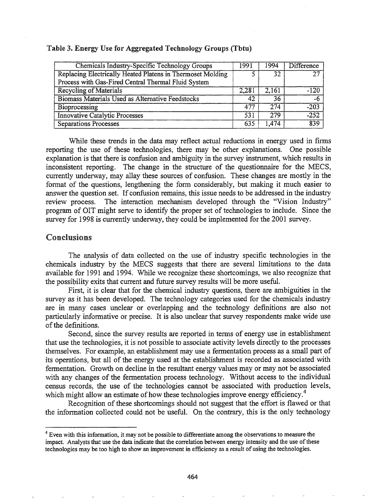| <b>Chemicals Industry-Specific Technology Groups</b>                                                              | 1991  | 1994  | <b>Difference</b> |
|-------------------------------------------------------------------------------------------------------------------|-------|-------|-------------------|
| Replacing Electrically Heated Platens in Thermoset Molding<br>Process with Gas-Fired Central Thermal Fluid System |       | 32    | 27                |
| Recycling of Materials                                                                                            | 2,281 | 2.161 | $-120$            |
| Biomass Materials Used as Alternative Feedstocks                                                                  | 42    | 36    | -6                |
| Bioprocessing                                                                                                     | 477   | 274   | $-203$            |
| <b>Innovative Catalytic Processes</b>                                                                             | 531   | 279   | $-252$            |
| <b>Separations Processes</b>                                                                                      | 635   | 1,474 | 839               |

#### Table 3. Energy Use for Aggregated Technology Groups (Thtn)

While these trends in the data may reflect actual reductions in energy used in firms reporting the use of these technologies, there may be other explanations. One possible explanation is that there is confusion and ambiguity in the survey instrument, which results in inconsistent reporting. The change in the structure of the questionnaire for the MECS, currently underway, may allay these sources of confusion. These changes are mostly in the format of the questions, lengthening the form considerably, but making it much easier to answer the question set. If confusion remains, this issue needs to be addressed in the industry review process. The interaction mechanism developed through the "Vision Industry" program of OIT might serve to identify the proper set of technologies to include. Since the survey for 1998 is currently underway, they could be implemented for the 2001 survey.

## Conclusions

The analysis of data collected on the use of industry specific technologies in the chemicals industry by the MECS suggests that there are several limitations to the data available for 1991 and 1994. While we recognize these shortcomings, we also recognize that the possibility exits that current and future survey results will be more useful.

First, it is clear that for the chemical industry questions, there are ambiguities in the survey as it has been developed. The technology categories used for the chemicals industry are in many cases unclear or overlapping and the technology definitions are also not particularly informative or precise. It is also unclear that survey respondents make wide use of the definitions.

Second, since the survey results are reported in terms of energy use in establishment that use the technologies, it is not possible to associate activity levels directly to the processes themselves. For example, an establishment may use a fermentation process as a small part of its operations, but all of the energy used at the establishment is recorded as associated with fermentation. Growth on decline in the resultant energy values may or may not be associated with any changes of the fermentation process technology. Without access to the individual census records, the use of the technologies cannot be associated with production levels, which might allow an estimate of how these technologies improve energy efficiency. $4$ 

Recognition of these shortcomings should not suggest that the effort is flawed or that the information collected could not be useful. On the contrary, this is the only technology

<sup>&</sup>lt;sup>4</sup> Even with this information, it may not be possible to differentiate among the observations to measure the impact. Analysts that use the data indicate that the correlation between energy intensity and the use ofthese technologies may be too high to show an improvement in efficiency as a result of using the technologies.